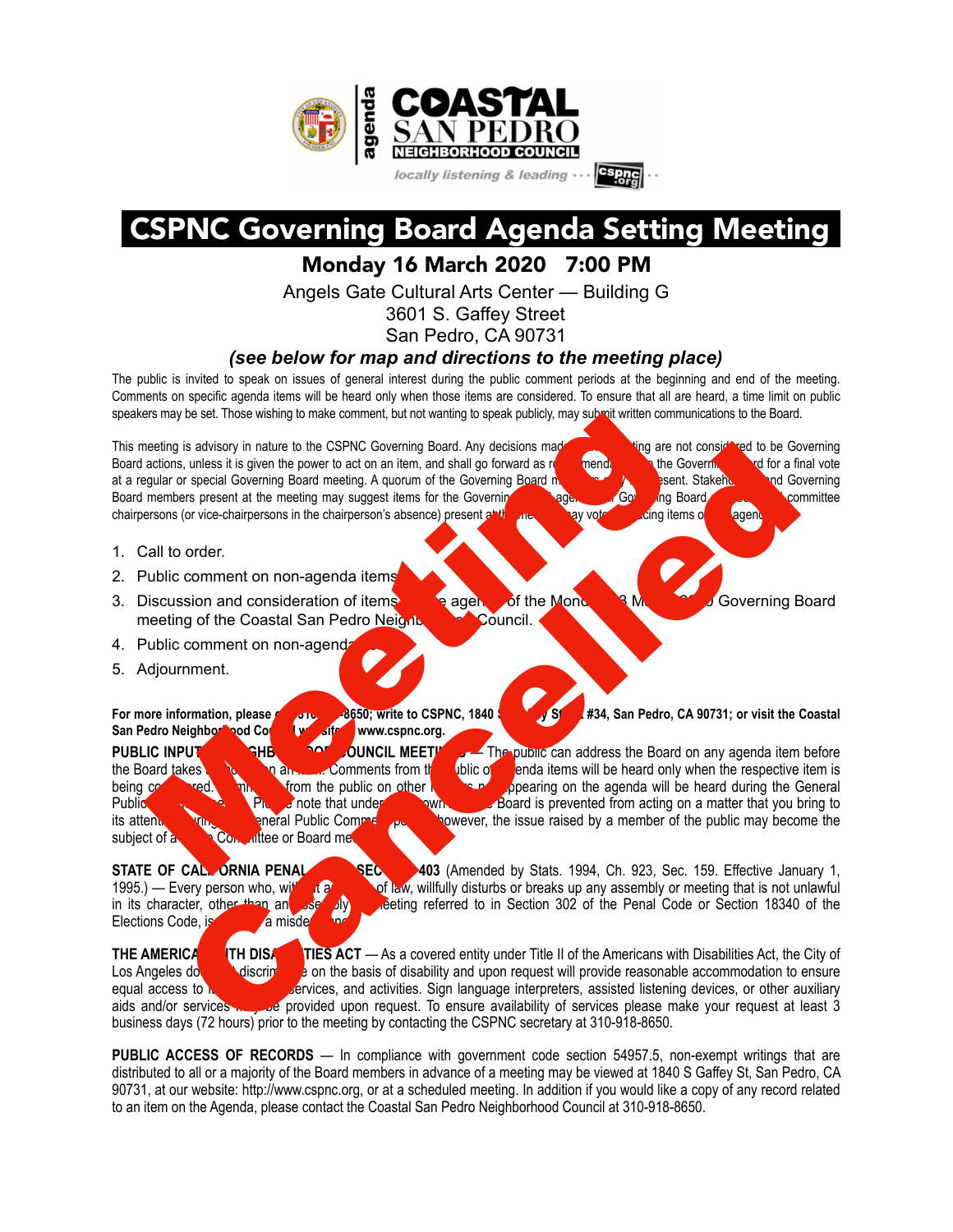

## CSPNC Governing Board Agenda Setting Meeting

Monday 16 March 2020 7:00 PM

Angels Gate Cultural Arts Center — Building G

3601 S. Gaffey Street

San Pedro, CA 90731

## *(see below for map and directions to the meeting place)*

The public is invited to speak on issues of general interest during the public comment periods at the beginning and end of the meeting. Comments on specific agenda items will be heard only when those items are considered. To ensure that all are heard, a time limit on public speakers may be set. Those wishing to make comment, but not wanting to speak publicly, may submit written communications to the Board.

This meeting is advisory in nature to the CSPNC Governing Board. Any decisions made at this meeting are not considered to be Governing Board actions, unless it is given the power to act on an item, and shall go forward as recommendations the Governing and for a final vote at a regular or special Governing Board meeting. A quorum of the Governing Board members of the present. Stakeholders and Governing Board members present at the meeting may suggest items for the Governing and agenda. All Governing board members are committee chairpersons (or vice-chairpersons in the chairperson's absence) present at the meeting may vote on placing items of agent

- 1. Call to order.
- 2. Public comment on non-agenda items
- 3. Discussion and consideration of items for the agenda of the Monday 23 March 2020 Governing Board meeting of the Coastal San Pedro Neight **Council.**
- 4. Public comment on non-agenda
- 5. Adjournment.

**For more information, please call 310-918-8650; write to CSPNC, 1840 S. S. B. B. San Pedro, CA 90731; or visit the Coastal** San Pedro Neighborhood Council website www.cspnc.org. **PUBLIC INPUT AT REFLIGHBORHOOD COUNCIL MEETINGS** — The public can address the Board on any agenda item before the Board takes and an an action of an action of the public of an action of the public of an action of the respective item is being comments from the public on other the respective item is pearing on the agenda will be hea being comments from the public on other matters is a popearing on the agenda will be heard during the General Public Comment period. Please note that under the Board is prevented from acting on a matter that you bring to its attention during the General Public Comment period; however, the issue raised by a member of the public may become the subject of a **function Committee or Board met** estes the start of the the CSPNC Governing Board. Any decisions made energy is advisory in nature to the CSPNC Governing Board. Any decisions made are not a decision, such as a red and the computer of the Computer and the is device the consistered to the Cancel and the state of the Meridian State of Books, the method comparison and consistered manner of the Governing Band Coverning Band Coverning Device the method of the method of the metho

**STATE OF CALIFORNIA PENAL CODE SECTION 403** (Amended by Stats. 1994, Ch. 923, Sec. 159. Effective January 1, 1995.) — Every person who, will distribe the state of law, willfully disturbs or breaks up any assembly or meeti 1995. The eventy willfully disturbs or breaks up any assembly or meeting that is not unlawful in its character, other than an assembly deting referred to in Section 302 of the Penal Code or Section 18340 of the Elections Code, is guilty of a misdem

**THE AMERICA** THE DISANTIES ACT — As a covered entity under Title II of the Americans with Disabilities Act, the City of Los Angeles does not discriming the basis of disability and upon request will provide reasonable accommodation to ensure equal access to **it services**, and activities. Sign language interpreters, assisted listening devices, or other auxiliary aids and/or services may be provided upon request. To ensure availability of services please make your request at least 3 business days (72 hours) prior to the meeting by contacting the CSPNC secretary at 310-918-8650.

**PUBLIC ACCESS OF RECORDS** — In compliance with government code section 54957.5, non-exempt writings that are distributed to all or a majority of the Board members in advance of a meeting may be viewed at 1840 S Gaffey St, San Pedro, CA 90731, at our website: http://www.cspnc.org, or at a scheduled meeting. In addition if you would like a copy of any record related to an item on the Agenda, please contact the Coastal San Pedro Neighborhood Council at 310-918-8650.